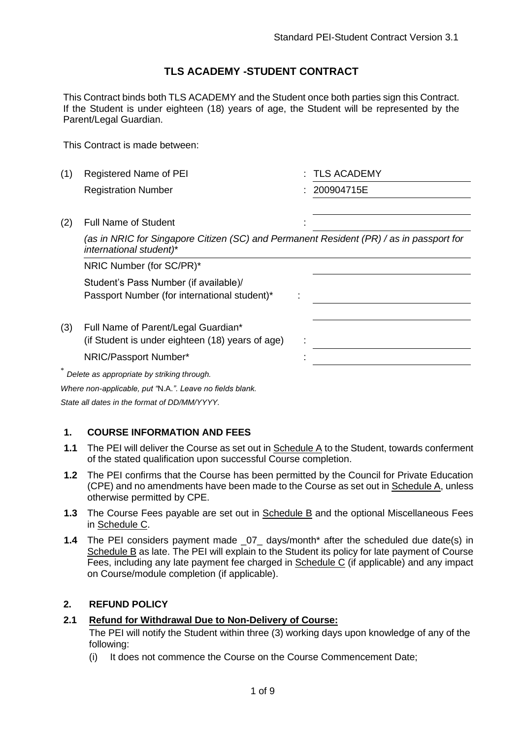## **TLS ACADEMY -STUDENT CONTRACT**

This Contract binds both TLS ACADEMY and the Student once both parties sign this Contract. If the Student is under eighteen (18) years of age, the Student will be represented by the Parent/Legal Guardian.

This Contract is made between:

| (1) | Registered Name of PEI                                                                                             |  | <b>TLS ACADEMY</b> |  |
|-----|--------------------------------------------------------------------------------------------------------------------|--|--------------------|--|
|     | <b>Registration Number</b>                                                                                         |  | 200904715E         |  |
| (2) | <b>Full Name of Student</b>                                                                                        |  |                    |  |
|     | (as in NRIC for Singapore Citizen (SC) and Permanent Resident (PR) / as in passport for<br>international student)* |  |                    |  |
|     | NRIC Number (for SC/PR)*                                                                                           |  |                    |  |
|     | Student's Pass Number (if available)/<br>Passport Number (for international student)*                              |  |                    |  |
| (3) | Full Name of Parent/Legal Guardian*<br>(if Student is under eighteen (18) years of age)<br>NRIC/Passport Number*   |  |                    |  |
|     | Delete as appropriate by striking through.                                                                         |  |                    |  |
|     | Where non-applicable, put "N.A.". Leave no fields blank.                                                           |  |                    |  |

*State all dates in the format of DD/MM/YYYY.*

### **1. COURSE INFORMATION AND FEES**

- **1.1** The PEI will deliver the Course as set out in Schedule A to the Student, towards conferment of the stated qualification upon successful Course completion.
- **1.2** The PEI confirms that the Course has been permitted by the Council for Private Education (CPE) and no amendments have been made to the Course as set out in Schedule A, unless otherwise permitted by CPE.
- **1.3** The Course Fees payable are set out in Schedule B and the optional Miscellaneous Fees in Schedule C.
- **1.4** The PEI considers payment made \_07\_ days/month<sup>\*</sup> after the scheduled due date(s) in Schedule B as late. The PEI will explain to the Student its policy for late payment of Course Fees, including any late payment fee charged in Schedule C (if applicable) and any impact on Course/module completion (if applicable).

#### **2. REFUND POLICY**

### **2.1 Refund for Withdrawal Due to Non-Delivery of Course:**

The PEI will notify the Student within three (3) working days upon knowledge of any of the following:

(i) It does not commence the Course on the Course Commencement Date;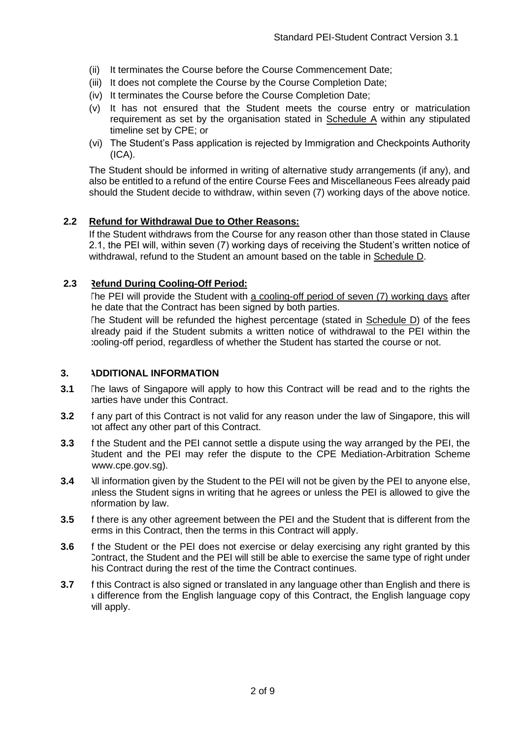- (ii) It terminates the Course before the Course Commencement Date;
- (iii) It does not complete the Course by the Course Completion Date;
- (iv) It terminates the Course before the Course Completion Date;
- (v) It has not ensured that the Student meets the course entry or matriculation requirement as set by the organisation stated in Schedule A within any stipulated timeline set by CPE; or
- (vi) The Student's Pass application is rejected by Immigration and Checkpoints Authority (ICA).

The Student should be informed in writing of alternative study arrangements (if any), and also be entitled to a refund of the entire Course Fees and Miscellaneous Fees already paid should the Student decide to withdraw, within seven (7) working days of the above notice.

#### **2.2 Refund for Withdrawal Due to Other Reasons:**

If the Student withdraws from the Course for any reason other than those stated in Clause 2.1, the PEI will, within seven (7) working days of receiving the Student's written notice of withdrawal, refund to the Student an amount based on the table in Schedule D.

#### **2.3 Refund During Cooling-Off Period:**

The PEI will provide the Student with a cooling-off period of seven (7) working days after he date that the Contract has been signed by both parties.

The Student will be refunded the highest percentage (stated in Schedule D) of the fees already paid if the Student submits a written notice of withdrawal to the PEI within the cooling-off period, regardless of whether the Student has started the course or not.

#### **3. ADDITIONAL INFORMATION**

- **3.1** The laws of Singapore will apply to how this Contract will be read and to the rights the parties have under this Contract.
- **3.2** If any part of this Contract is not valid for any reason under the law of Singapore, this will not affect any other part of this Contract.
- **3.3** If the Student and the PEI cannot settle a dispute using the way arranged by the PEI, the Student and the PEI may refer the dispute to the CPE Mediation-Arbitration Scheme www.cpe.gov.sg).
- **3.4** All information given by the Student to the PEI will not be given by the PEI to anyone else, unless the Student signs in writing that he agrees or unless the PEI is allowed to give the nformation by law.
- **3.5** If there is any other agreement between the PEI and the Student that is different from the erms in this Contract, then the terms in this Contract will apply.
- **3.6** If the Student or the PEI does not exercise or delay exercising any right granted by this Contract, the Student and the PEI will still be able to exercise the same type of right under his Contract during the rest of the time the Contract continues.
- **3.7** If this Contract is also signed or translated in any language other than English and there is a difference from the English language copy of this Contract, the English language copy will apply.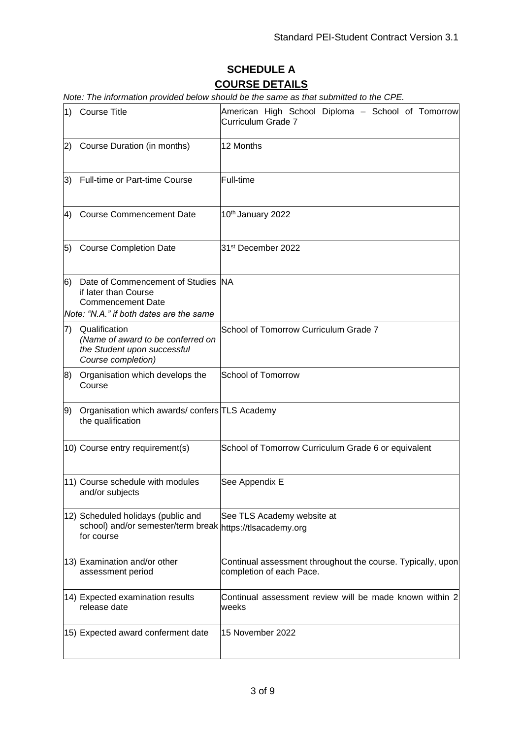# **SCHEDULE A COURSE DETAILS**

*Note: The information provided below should be the same as that submitted to the CPE.* 

| 1) | <b>Course Title</b>                                                                                                               | American High School Diploma - School of Tomorrow<br>Curriculum Grade 7                 |
|----|-----------------------------------------------------------------------------------------------------------------------------------|-----------------------------------------------------------------------------------------|
| 2) | Course Duration (in months)                                                                                                       | 12 Months                                                                               |
| 3) | Full-time or Part-time Course                                                                                                     | Full-time                                                                               |
| 4) | <b>Course Commencement Date</b>                                                                                                   | 10th January 2022                                                                       |
| 5) | <b>Course Completion Date</b>                                                                                                     | 31 <sup>st</sup> December 2022                                                          |
| 6) | Date of Commencement of Studies NA<br>if later than Course<br><b>Commencement Date</b><br>Note: "N.A." if both dates are the same |                                                                                         |
| 7) | Qualification<br>(Name of award to be conferred on<br>the Student upon successful<br>Course completion)                           | School of Tomorrow Curriculum Grade 7                                                   |
| 8) | Organisation which develops the<br>Course                                                                                         | <b>School of Tomorrow</b>                                                               |
| 9) | Organisation which awards/confers TLS Academy<br>the qualification                                                                |                                                                                         |
|    | 10) Course entry requirement(s)                                                                                                   | School of Tomorrow Curriculum Grade 6 or equivalent                                     |
|    | 11) Course schedule with modules<br>and/or subjects                                                                               | See Appendix E                                                                          |
|    | 12) Scheduled holidays (public and<br>school) and/or semester/term break https://tlsacademy.org<br>for course                     | See TLS Academy website at                                                              |
|    | 13) Examination and/or other<br>assessment period                                                                                 | Continual assessment throughout the course. Typically, upon<br>completion of each Pace. |
|    | 14) Expected examination results<br>release date                                                                                  | Continual assessment review will be made known within 2<br>weeks                        |
|    | 15) Expected award conferment date                                                                                                | 15 November 2022                                                                        |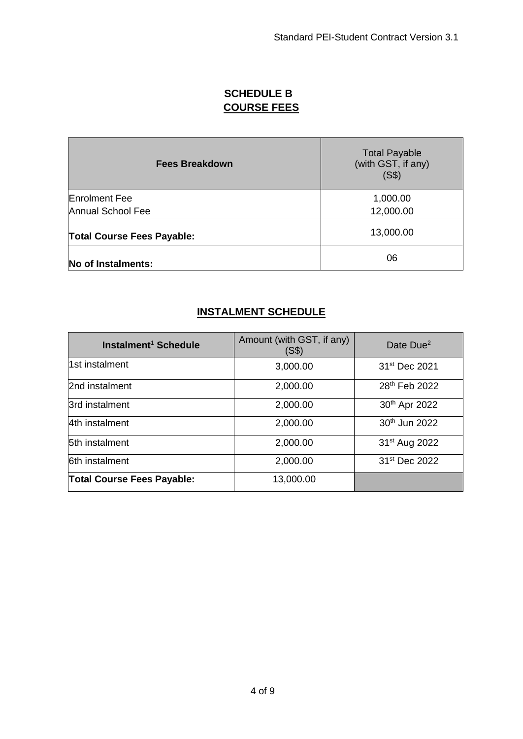# **SCHEDULE B COURSE FEES**

| <b>Fees Breakdown</b>             | <b>Total Payable</b><br>(with GST, if any)<br>(S\$) |
|-----------------------------------|-----------------------------------------------------|
| <b>Enrolment Fee</b>              | 1,000.00                                            |
| Annual School Fee                 | 12,000.00                                           |
| <b>Total Course Fees Payable:</b> | 13,000.00                                           |
| No of Instalments:                | 06                                                  |

# **INSTALMENT SCHEDULE**

| Instalment <sup>1</sup> Schedule  | Amount (with GST, if any)<br>(S\$) | Date Due <sup>2</sup>     |
|-----------------------------------|------------------------------------|---------------------------|
| 1st instalment                    | 3,000.00                           | 31 <sup>st</sup> Dec 2021 |
| 2nd instalment                    | 2,000.00                           | 28 <sup>th</sup> Feb 2022 |
| 3rd instalment                    | 2,000.00                           | 30 <sup>th</sup> Apr 2022 |
| 4th instalment                    | 2,000.00                           | 30 <sup>th</sup> Jun 2022 |
| <b>5th instalment</b>             | 2,000.00                           | 31 <sup>st</sup> Aug 2022 |
| <b>6th instalment</b>             | 2,000.00                           | 31 <sup>st</sup> Dec 2022 |
| <b>Total Course Fees Payable:</b> | 13,000.00                          |                           |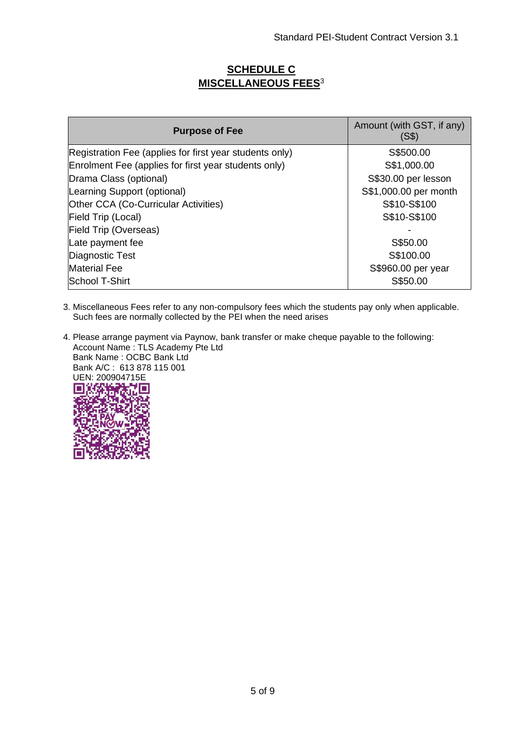## **SCHEDULE C MISCELLANEOUS FEES**<sup>3</sup>

| <b>Purpose of Fee</b>                                   | Amount (with GST, if any)<br>(S\$) |
|---------------------------------------------------------|------------------------------------|
| Registration Fee (applies for first year students only) | S\$500.00                          |
| Enrolment Fee (applies for first year students only)    | S\$1,000.00                        |
| Drama Class (optional)                                  | S\$30.00 per lesson                |
| Learning Support (optional)                             | S\$1,000.00 per month              |
| Other CCA (Co-Curricular Activities)                    | S\$10-S\$100                       |
| Field Trip (Local)                                      | S\$10-S\$100                       |
| <b>Field Trip (Overseas)</b>                            |                                    |
| Late payment fee                                        | S\$50.00                           |
| Diagnostic Test                                         | S\$100.00                          |
| <b>Material Fee</b>                                     | S\$960.00 per year                 |
| School T-Shirt                                          | S\$50.00                           |

3. Miscellaneous Fees refer to any non-compulsory fees which the students pay only when applicable. Such fees are normally collected by the PEI when the need arises

4. Please arrange payment via Paynow, bank transfer or make cheque payable to the following: Account Name : TLS Academy Pte Ltd Bank Name : OCBC Bank Ltd Bank A/C : 613 878 115 001 UEN: 200904715E г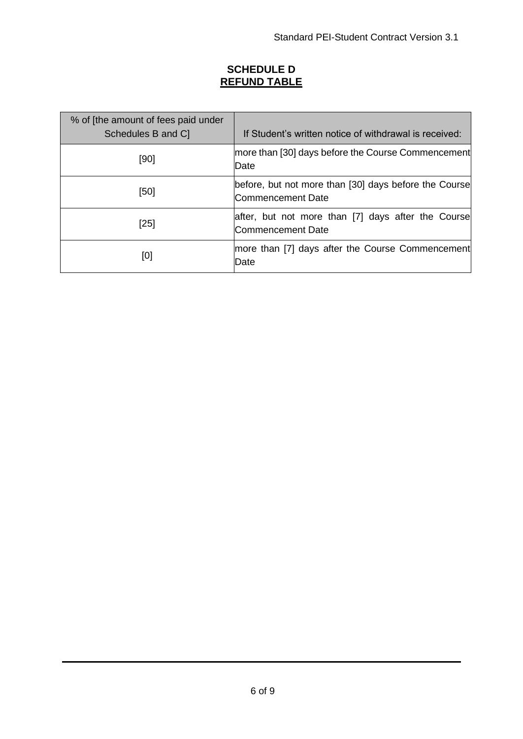# **SCHEDULE D REFUND TABLE**

| % of [the amount of fees paid under<br>Schedules B and C | If Student's written notice of withdrawal is received:                     |
|----------------------------------------------------------|----------------------------------------------------------------------------|
| [90]                                                     | more than [30] days before the Course Commencement<br>Date                 |
| [50]                                                     | before, but not more than [30] days before the Course<br>Commencement Date |
| [25]                                                     | after, but not more than [7] days after the Course<br>lCommencement Date   |
| [0]                                                      | more than [7] days after the Course Commencement<br>lDate                  |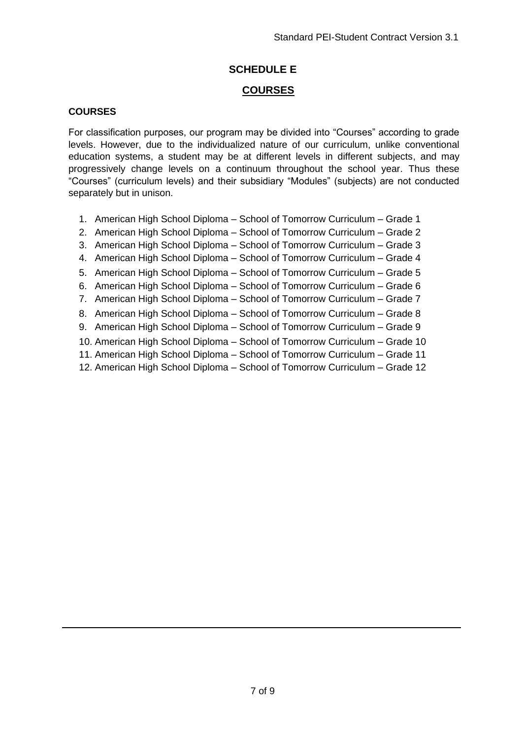## **SCHEDULE E**

### **COURSES**

#### **COURSES**

For classification purposes, our program may be divided into "Courses" according to grade levels. However, due to the individualized nature of our curriculum, unlike conventional education systems, a student may be at different levels in different subjects, and may progressively change levels on a continuum throughout the school year. Thus these "Courses" (curriculum levels) and their subsidiary "Modules" (subjects) are not conducted separately but in unison.

- 1. American High School Diploma School of Tomorrow Curriculum Grade 1
- 2. American High School Diploma School of Tomorrow Curriculum Grade 2
- 3. American High School Diploma School of Tomorrow Curriculum Grade 3
- 4. American High School Diploma School of Tomorrow Curriculum Grade 4
- 5. American High School Diploma School of Tomorrow Curriculum Grade 5
- 6. American High School Diploma School of Tomorrow Curriculum Grade 6
- 7. American High School Diploma School of Tomorrow Curriculum Grade 7
- 8. American High School Diploma School of Tomorrow Curriculum Grade 8
- 9. American High School Diploma School of Tomorrow Curriculum Grade 9
- 10. American High School Diploma School of Tomorrow Curriculum Grade 10
- 11. American High School Diploma School of Tomorrow Curriculum Grade 11
- 12. American High School Diploma School of Tomorrow Curriculum Grade 12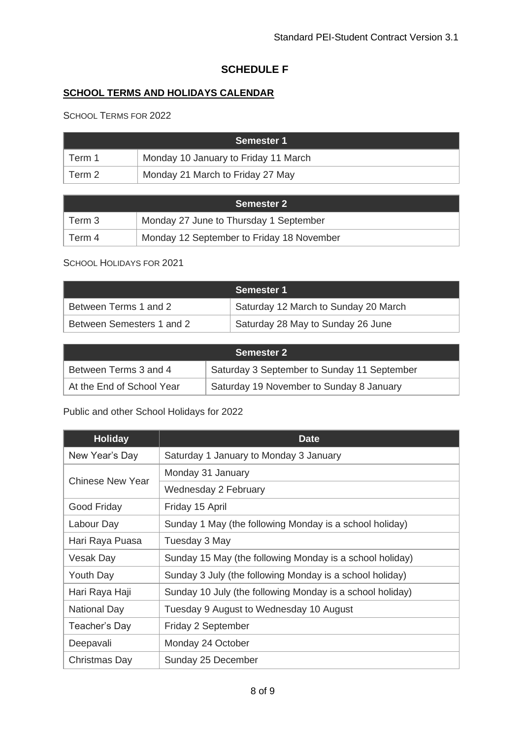## **SCHEDULE F**

# **SCHOOL TERMS AND HOLIDAYS CALENDAR**

SCHOOL TERMS FOR 2022

| <b>Semester 1</b> |                                      |  |
|-------------------|--------------------------------------|--|
| Term 1            | Monday 10 January to Friday 11 March |  |
| Term 2            | Monday 21 March to Friday 27 May     |  |

| <b>Semester 2</b> |                                           |  |
|-------------------|-------------------------------------------|--|
| Term 3            | Monday 27 June to Thursday 1 September    |  |
| Term 4            | Monday 12 September to Friday 18 November |  |

#### SCHOOL HOLIDAYS FOR 2021

|                           | <b>Semester 1</b>                    |
|---------------------------|--------------------------------------|
| Between Terms 1 and 2     | Saturday 12 March to Sunday 20 March |
| Between Semesters 1 and 2 | Saturday 28 May to Sunday 26 June    |

| <b>Semester 2</b>         |                                             |  |
|---------------------------|---------------------------------------------|--|
| Between Terms 3 and 4     | Saturday 3 September to Sunday 11 September |  |
| At the End of School Year | Saturday 19 November to Sunday 8 January    |  |

Public and other School Holidays for 2022

| <b>Holiday</b>          | <b>Date</b>                                               |
|-------------------------|-----------------------------------------------------------|
| New Year's Day          | Saturday 1 January to Monday 3 January                    |
| <b>Chinese New Year</b> | Monday 31 January                                         |
|                         | Wednesday 2 February                                      |
| Good Friday             | Friday 15 April                                           |
| Labour Day              | Sunday 1 May (the following Monday is a school holiday)   |
| Hari Raya Puasa         | Tuesday 3 May                                             |
| Vesak Day               | Sunday 15 May (the following Monday is a school holiday)  |
| Youth Day               | Sunday 3 July (the following Monday is a school holiday)  |
| Hari Raya Haji          | Sunday 10 July (the following Monday is a school holiday) |
| National Day            | Tuesday 9 August to Wednesday 10 August                   |
| Teacher's Day           | Friday 2 September                                        |
| Deepavali               | Monday 24 October                                         |
| Christmas Day           | Sunday 25 December                                        |